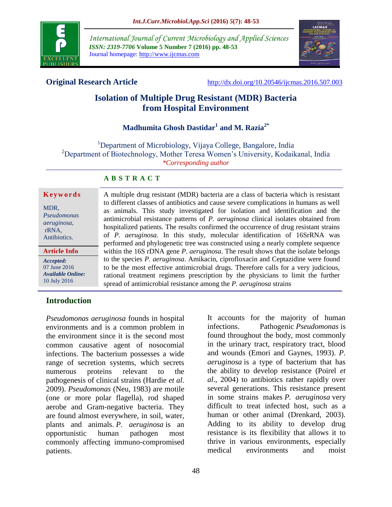

*International Journal of Current Microbiology and Applied Sciences ISSN: 2319-7706* **Volume 5 Number 7 (2016) pp. 48-53** Journal homepage: http://www.ijcmas.com



**Original Research Article** <http://dx.doi.org/10.20546/ijcmas.2016.507.003>

# **Isolation of Multiple Drug Resistant (MDR) Bacteria from Hospital Environment**

# **Madhumita Ghosh Dastidar<sup>1</sup> and M. Razia2\***

<sup>1</sup>Department of Microbiology, Vijaya College, Bangalore, India <sup>2</sup>Department of Biotechnology, Mother Teresa Women's University, Kodaikanal, India *\*Corresponding author*

### **A B S T R A C T**

#### **K e y w o r d s**

MDR, *Pseudomonas aeruginosa,* rRNA, Antibiotics.

**Article Info**

*Accepted:*  07 June 2016 *Available Online:* 10 July 2016

#### A multiple drug resistant (MDR) bacteria are a class of bacteria which is resistant to different classes of antibiotics and cause severe complications in humans as well as animals. This study investigated for isolation and identification and the antimicrobial resistance patterns of *P. aeruginosa* clinical isolates obtained from hospitalized patients. The results confirmed the occurrence of drug resistant strains of *P. aeruginosa*. In this study, molecular identification of 16SrRNA was performed and phylogenetic tree was constructed using a nearly complete sequence within the 16S rDNA gene *P. aeruginosa*. The result shows that the isolate belongs to the species *P. aeruginosa*. Amikacin, ciprofloxacin and Ceptazidine were found to be the most effective antimicrobial drugs. Therefore calls for a very judicious, rational treatment regimens prescription by the physicians to limit the further spread of antimicrobial resistance among the *P. aeruginosa* strains

## **Introduction**

*Pseudomonas aeruginosa* founds in hospital environments and is a common problem in the environment since it is the second most common causative agent of nosocomial infections. The bacterium possesses a wide range of secretion systems, which secrets numerous proteins relevant to the pathogenesis of clinical strains (Hardie *et al*. 2009). *Pseudomonas* (Neu, 1983) are motile (one or more polar flagella), rod shaped aerobe and Gram-negative bacteria. They are found almost everywhere, in soil, water, plants and animals. *P. aeruginosa* is an opportunistic human pathogen most commonly affecting immuno-compromised patients.

It accounts for the majority of human infections. Pathogenic *Pseudomonas* is found throughout the body, most commonly in the urinary tract, respiratory tract, blood and wounds (Emori and Gaynes, 1993). *P. aeruginosa* is a type of bacterium that has the ability to develop resistance (Poirel *et al*., 2004) to antibiotics rather rapidly over several generations. This resistance present in some strains makes *P. aeruginosa* very difficult to treat infected host, such as a human or other animal (Drenkard, 2003). Adding to its ability to develop drug resistance is its flexibility that allows it to thrive in various environments, especially medical environments and moist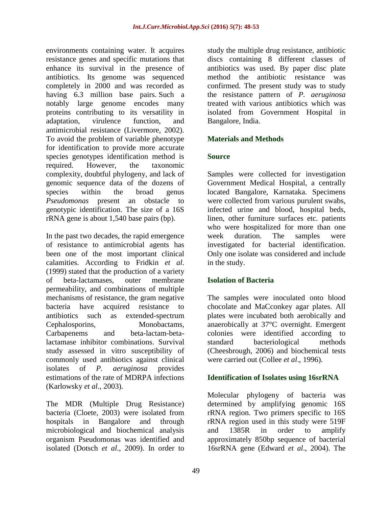environments containing water. It acquires resistance genes and specific mutations that enhance its survival in the presence of antibiotics. Its genome was sequenced completely in 2000 and was recorded as having 6.3 million base pairs. Such a notably large genome encodes many proteins contributing to its versatility in adaptation, virulence function, and antimicrobial resistance (Livermore, 2002). To avoid the problem of variable phenotype for identification to provide more accurate species genotypes identification method is required. However, the taxonomic complexity, doubtful phylogeny, and lack of genomic sequence data of the dozens of species within the broad genus *Pseudomonas* present an obstacle to genotypic identification. The size of a 16S rRNA gene is about 1,540 base pairs (bp).

In the past two decades, the rapid emergence of resistance to antimicrobial agents has been one of the most important clinical calamities. According to Fridkin *et al*. (1999) stated that the production of a variety of beta-lactamases, outer membrane permeability, and combinations of multiple mechanisms of resistance, the gram negative bacteria have acquired resistance to antibiotics such as extended-spectrum Cephalosporins, Monobactams, Carbapenems and beta-lactam-betalactamase inhibitor combinations. Survival study assessed in vitro susceptibility of commonly used antibiotics against clinical isolates of *P. aeruginosa* provides estimations of the rate of MDRPA infections (Karlowsky *et al*., 2003).

The MDR (Multiple Drug Resistance) bacteria (Cloete, 2003) were isolated from hospitals in Bangalore and through microbiological and biochemical analysis organism Pseudomonas was identified and isolated (Dotsch *et al*., 2009). In order to

study the multiple drug resistance, antibiotic discs containing 8 different classes of antibiotics was used. By paper disc plate method the antibiotic resistance was confirmed. The present study was to study the resistance pattern of *P. aeruginosa* treated with various antibiotics which was isolated from Government Hospital in Bangalore, India.

## **Materials and Methods**

### **Source**

Samples were collected for investigation Government Medical Hospital, a centrally located Bangalore, Karnataka. Specimens were collected from various purulent swabs, infected urine and blood, hospital beds, linen, other furniture surfaces etc. patients who were hospitalized for more than one week duration. The samples were investigated for bacterial identification. Only one isolate was considered and include in the study.

### **Isolation of Bacteria**

The samples were inoculated onto blood chocolate and MaCconkey agar plates. All plates were incubated both aerobically and anaerobically at 37°C overnight. Emergent colonies were identified according to standard bacteriological methods (Cheesbrough, 2006) and biochemical tests were carried out (Collee *et al*., 1996).

### **Identification of Isolates using 16srRNA**

Molecular phylogeny of bacteria was determined by amplifying genomic 16S rRNA region. Two primers specific to 16S rRNA region used in this study were 519F and 1385R in order to amplify approximately 850bp sequence of bacterial 16srRNA gene (Edward *et al*., 2004). The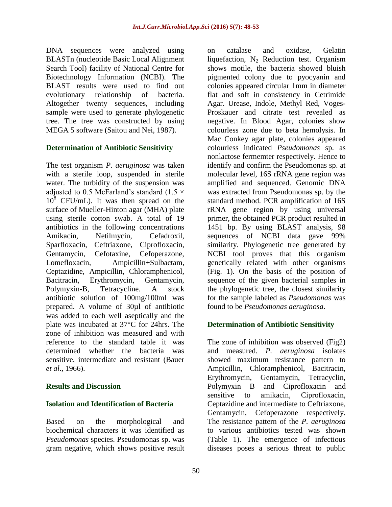DNA sequences were analyzed using BLASTn (nucleotide Basic Local Alignment Search Tool) facility of National Centre for Biotechnology Information (NCBI). The BLAST results were used to find out evolutionary relationship of bacteria. Altogether twenty sequences, including sample were used to generate phylogenetic tree. The tree was constructed by using MEGA 5 software (Saitou and Nei, 1987).

## **Determination of Antibiotic Sensitivity**

The test organism *P. aeruginosa* was taken with a sterile loop, suspended in sterile water. The turbidity of the suspension was adjusted to 0.5 McFarland's standard (1.5  $\times$  $10^8$  CFU/mL). It was then spread on the surface of Mueller-Hinton agar (MHA) plate using sterile cotton swab. A total of 19 antibiotics in the following concentrations Amikacin, Netilmycin, Cefadroxil, Sparfloxacin, Ceftriaxone, Ciprofloxacin, Gentamycin, Cefotaxine, Cefoperazone, Lomefloxacin, Ampicillin+Sulbactam, Ceptazidine, Ampicillin, Chloramphenicol, Bacitracin, Erythromycin, Gentamycin, Polymyxin-B, Tetracycline. A stock antibiotic solution of 100mg/100ml was prepared. A volume of 30µl of antibiotic was added to each well aseptically and the plate was incubated at 37°C for 24hrs. The zone of inhibition was measured and with reference to the standard table it was determined whether the bacteria was sensitive, intermediate and resistant (Bauer *et al*., 1966).

### **Results and Discussion**

### **Isolation and Identification of Bacteria**

Based on the morphological and biochemical characters it was identified as *Pseudomonas* species. Pseudomonas sp. was gram negative, which shows positive result on catalase and oxidase, Gelatin liquefaction,  $N_2$  Reduction test. Organism shows motile, the bacteria showed bluish pigmented colony due to pyocyanin and colonies appeared circular 1mm in diameter flat and soft in consistency in Cetrimide Agar. Urease, Indole, Methyl Red, Voges-Proskauer and citrate test revealed as negative. In Blood Agar, colonies show colourless zone due to beta hemolysis. In Mac Conkey agar plate, colonies appeared colourless indicated *Pseudomonas* sp. as nonlactose fermemter respectively. Hence to identify and confirm the Pseudomonas sp. at molecular level, 16S rRNA gene region was amplified and sequenced. Genomic DNA was extracted from Pseudomonas sp. by the standard method. PCR amplification of 16S rRNA gene region by using universal primer, the obtained PCR product resulted in 1451 bp. By using BLAST analysis, 98 sequences of NCBI data gave 99% similarity. Phylogenetic tree generated by NCBI tool proves that this organism genetically related with other organisms (Fig. 1). On the basis of the position of sequence of the given bacterial samples in the phylogenetic tree, the closest similarity for the sample labeled as *Pseudomonas* was found to be *Pseudomonas aeruginosa*.

### **Determination of Antibiotic Sensitivity**

The zone of inhibition was observed (Fig2) and measured. *P. aeruginosa* isolates showed maximum resistance pattern to Ampicillin, Chloramphenicol, Bacitracin, Erythromycin, Gentamycin, Tetracyclin, Polymyxin B and Ciprofloxacin and sensitive to amikacin, Ciprofloxacin, Ceptazidine and intermediate to Ceftriaxone, Gentamycin, Cefoperazone respectively. The resistance pattern of the *P. aeruginosa* to various antibiotics tested was shown (Table 1). The emergence of infectious diseases poses a serious threat to public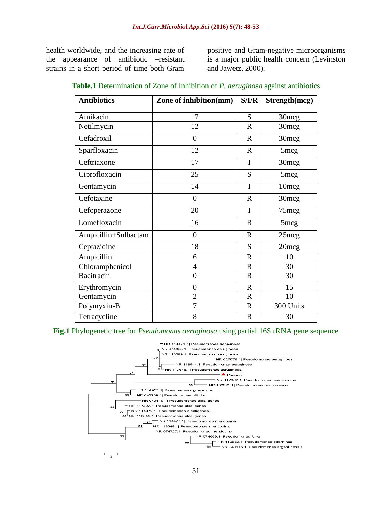health worldwide, and the increasing rate of the appearance of antibiotic –resistant strains in a short period of time both Gram positive and Gram-negative microorganisms is a major public health concern (Levinston and Jawetz, 2000).

| <b>Antibiotics</b>   | Zone of inhibition(mm) | S/I/R       | Strength(mcg)     |
|----------------------|------------------------|-------------|-------------------|
| Amikacin             | 17                     | S           | 30 <sub>mcg</sub> |
| Netilmycin           | 12                     | $\mathbf R$ | 30mcg             |
| Cefadroxil           | $\overline{0}$         | $\mathbf R$ | 30mcg             |
| Sparfloxacin         | 12                     | $\mathbf R$ | $5 \text{mcg}$    |
| Ceftriaxone          | 17                     | I           | 30 <sub>mcg</sub> |
| Ciprofloxacin        | 25                     | S           | 5 <sub>mcg</sub>  |
| Gentamycin           | 14                     | I           | 10 <sub>mcg</sub> |
| Cefotaxine           | $\theta$               | $\mathbf R$ | 30 <sub>mcg</sub> |
| Cefoperazone         | 20                     | I           | 75mcg             |
| Lomefloxacin         | 16                     | $\mathbf R$ | 5 <sub>mcg</sub>  |
| Ampicillin+Sulbactam | $\theta$               | $\mathbf R$ | 25mg              |
| Ceptazidine          | 18                     | S           | 20mcg             |
| Ampicillin           | 6                      | $\mathbf R$ | 10                |
| Chloramphenicol      | 4                      | $\mathbf R$ | 30                |
| Bacitracin           | $\overline{0}$         | $\mathbf R$ | 30                |
| Erythromycin         | $\overline{0}$         | $\mathbf R$ | 15                |
| Gentamycin           | $\overline{2}$         | $\mathbf R$ | 10                |
| Polymyxin-B          | $\overline{7}$         | $\mathbf R$ | 300 Units         |
| Tetracycline         | 8                      | $\mathbf R$ | 30                |

## **Table.1** Determination of Zone of Inhibition of *P. aeruginosa* against antibiotics

**Fig.1** Phylogenetic tree for *Pseudomonas aeruginosa* using partial 16S rRNA gene sequence

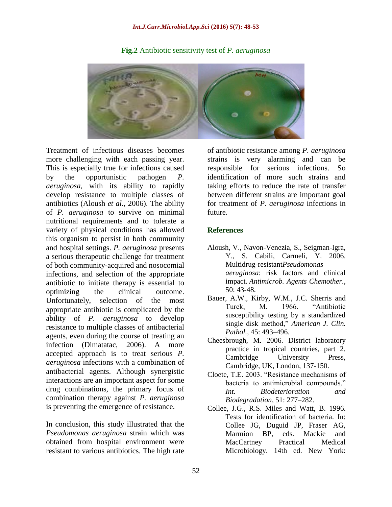#### *Int.J.Curr.Microbiol.App.Sci* **(2016)** *5***(7): 48-53**



#### **Fig.2** Antibiotic sensitivity test of *P. aeruginosa*

Treatment of infectious diseases becomes more challenging with each passing year. This is especially true for infections caused by the opportunistic pathogen *P. aeruginosa*, with its ability to rapidly develop resistance to multiple classes of antibiotics (Aloush *et al*., 2006). The ability of *P. aeruginosa* to survive on minimal nutritional requirements and to tolerate a variety of physical conditions has allowed this organism to persist in both community and hospital settings. *P. aeruginosa* presents a serious therapeutic challenge for treatment of both community-acquired and nosocomial infections, and selection of the appropriate antibiotic to initiate therapy is essential to optimizing the clinical outcome. Unfortunately, selection of the most appropriate antibiotic is complicated by the ability of *P. aeruginosa* to develop resistance to multiple classes of antibacterial agents, even during the course of treating an infection (Dimatatac, 2006). A more accepted approach is to treat serious *P. aeruginosa* infections with a combination of antibacterial agents. Although synergistic interactions are an important aspect for some drug combinations, the primary focus of combination therapy against *P. aeruginosa* is preventing the emergence of resistance.

In conclusion, this study illustrated that the *Pseudomonas aeruginosa* strain which was obtained from hospital environment were resistant to various antibiotics. The high rate

of antibiotic resistance among *P. aeruginosa* strains is very alarming and can be responsible for serious infections. So identification of more such strains and taking efforts to reduce the rate of transfer between different strains are important goal for treatment of *P. aeruginosa* infections in future.

#### **References**

- Aloush, V., Navon-Venezia, S., Seigman-Igra, Y., S. Cabili, Carmeli, Y. 2006. Multidrug-resistant*Pseudomonas aeruginosa*: risk factors and clinical impact. *Antimicrob. Agents Chemother.,*  50: 43-48.
- Bauer, A.W., Kirby, W.M., J.C. Sherris and Turck, M. 1966. "Antibiotic susceptibility testing by a standardized single disk method," *American J. Clin. Pathol.,* 45: 493–496.
- Cheesbrough, M. 2006. District laboratory practice in tropical countries, part 2. Cambridge University Press, Cambridge, UK, London, 137-150.
- Cloete, T.E. 2003. "Resistance mechanisms of bacteria to antimicrobial compounds," *Int. Biodeterioration and Biodegradation,* 51: 277–282.
- Collee, J.G., R.S. Miles and Watt, B. 1996. Tests for identification of bacteria. In: Collee JG, Duguid JP, Fraser AG, Marmion BP, eds. Mackie and MacCartney Practical Medical Microbiology. 14th ed. New York: